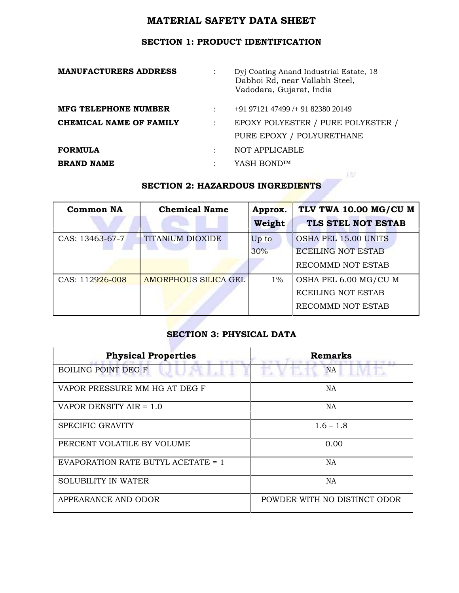# **SECTION 1: PRODUCT IDENTIFICATION**

| <b>MANUFACTURERS ADDRESS</b>   |                      | Dyj Coating Anand Industrial Estate, 18<br>Dabhoi Rd, near Vallabh Steel,<br>Vadodara, Gujarat, India |
|--------------------------------|----------------------|-------------------------------------------------------------------------------------------------------|
| <b>MFG TELEPHONE NUMBER</b>    | $\ddot{\phantom{a}}$ | $+919712147499+918238020149$                                                                          |
| <b>CHEMICAL NAME OF FAMILY</b> | ÷                    | EPOXY POLYESTER / PURE POLYESTER /                                                                    |
|                                |                      | PURE EPOXY / POLYURETHANE                                                                             |
| <b>FORMULA</b>                 | ÷                    | NOT APPLICABLE                                                                                        |
| <b>BRAND NAME</b>              | $\ddot{\cdot}$       | YASH BOND™                                                                                            |
|                                |                      | <b>SECTION 2: HAZARDOUS INGREDIENTS</b>                                                               |

# **SECTION 2: HAZARDOUS INGREDIENTS**

| <b>Common NA</b> | <b>Chemical Name</b>        | Approx. | TLV TWA 10.00 MG/CU M       |
|------------------|-----------------------------|---------|-----------------------------|
|                  |                             | Weight  | TLS STEL NOT ESTAB          |
| CAS: 13463-67-7  | TITANIUM DIOXIDE            | Up to   | <b>OSHA PEL 15.00 UNITS</b> |
|                  |                             | 30%     | <b>ECEILING NOT ESTAB</b>   |
|                  |                             |         | RECOMMD NOT ESTAB           |
| CAS: 112926-008  | <b>AMORPHOUS SILICA GEL</b> | $1\%$   | OSHA PEL 6.00 MG/CU M       |
|                  |                             |         | <b>ECEILING NOT ESTAB</b>   |
|                  |                             |         | RECOMMD NOT ESTAB           |

## **SECTION 3: PHYSICAL DATA**

| <b>Physical Properties</b>         | <b>Remarks</b>               |
|------------------------------------|------------------------------|
| <b>BOILING POINT DEG F</b>         | <b>NA</b>                    |
| VAPOR PRESSURE MM HG AT DEG F      | NA                           |
| VAPOR DENSITY AIR = 1.0            | NA                           |
| SPECIFIC GRAVITY                   | $1.6 - 1.8$                  |
| PERCENT VOLATILE BY VOLUME         | 0.00                         |
| EVAPORATION RATE BUTYL ACETATE = 1 | NA                           |
| <b>SOLUBILITY IN WATER</b>         | NA                           |
| APPEARANCE AND ODOR                | POWDER WITH NO DISTINCT ODOR |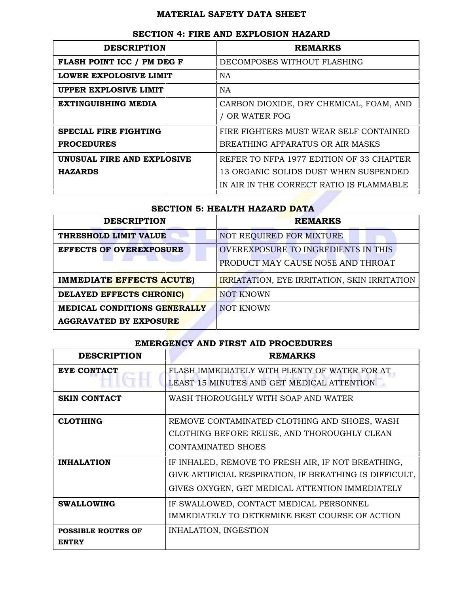| <b>DESCRIPTION</b>           | <b>REMARKS</b>                                          |
|------------------------------|---------------------------------------------------------|
| FLASH POINT ICC / PM DEG F   | DECOMPOSES WITHOUT FLASHING                             |
| LOWER EXPOLOSIVE LIMIT       | <b>NA</b>                                               |
| UPPER EXPLOSIVE LIMIT        | <b>NA</b>                                               |
| <b>EXTINGUISHING MEDIA</b>   | CARBON DIOXIDE, DRY CHEMICAL, FOAM, AND<br>OR WATER FOG |
| <b>SPECIAL FIRE FIGHTING</b> | FIRE FIGHTERS MUST WEAR SELF CONTAINED                  |
| <b>PROCEDURES</b>            | BREATHING APPARATUS OR AIR MASKS                        |
| UNUSUAL FIRE AND EXPLOSIVE   | REFER TO NFPA 1977 EDITION OF 33 CHAPTER                |
| <b>HAZARDS</b>               | 13 ORGANIC SOLIDS DUST WHEN SUSPENDED                   |
|                              | IN AIR IN THE CORRECT RATIO IS FLAMMABLE                |

### **SECTION 4: FIRE AND EXPLOSION HAZARD**

#### **SECTION 5: HEALTH HAZARD DATA**

| <b>DESCRIPTION</b>                                            | <b>REMARKS</b>                                                                  |
|---------------------------------------------------------------|---------------------------------------------------------------------------------|
| THRESHOLD LIMIT VALUE                                         | NOT REQUIRED FOR MIXTURE                                                        |
| <b>EFFECTS OF OVEREXPOSURE</b>                                | <b>OVEREXPOSURE TO INGREDIENTS IN THIS</b><br>PRODUCT MAY CAUSE NOSE AND THROAT |
| <b>IMMEDIATE EFFECTS ACUTE)</b>                               | <b>IRRIATATION, EYE IRRITATION, SKIN IRRITATION</b>                             |
| DELAYED EFFECTS CHRONIC)                                      | <b>NOT KNOWN</b>                                                                |
| MEDICAL CONDITIONS GENERALLY<br><b>AGGRAVATED BY EXPOSURE</b> | <b>NOT KNOWN</b>                                                                |

## **EMERGENCY AND FIRST AID PROCEDURES**

| <b>DESCRIPTION</b>                        | <b>REMARKS</b>                                                                              |
|-------------------------------------------|---------------------------------------------------------------------------------------------|
| EYE CONTACT                               | FLASH IMMEDIATELY WITH PLENTY OF WATER FOR AT<br>LEAST 15 MINUTES AND GET MEDICAL ATTENTION |
|                                           |                                                                                             |
| <b>SKIN CONTACT</b>                       | WASH THOROUGHLY WITH SOAP AND WATER                                                         |
| <b>CLOTHING</b>                           | REMOVE CONTAMINATED CLOTHING AND SHOES, WASH                                                |
|                                           | CLOTHING BEFORE REUSE, AND THOROUGHLY CLEAN                                                 |
|                                           | CONTAMINATED SHOES                                                                          |
| <b>INHALATION</b>                         | IF INHALED, REMOVE TO FRESH AIR, IF NOT BREATHING,                                          |
|                                           | GIVE ARTIFICIAL RESPIRATION, IF BREATHING IS DIFFICULT,                                     |
|                                           | GIVES OXYGEN, GET MEDICAL ATTENTION IMMEDIATELY                                             |
| <b>SWALLOWING</b>                         | IF SWALLOWED, CONTACT MEDICAL PERSONNEL                                                     |
|                                           | IMMEDIATELY TO DETERMINE BEST COURSE OF ACTION                                              |
| <b>POSSIBLE ROUTES OF</b><br><b>ENTRY</b> | INHALATION, INGESTION                                                                       |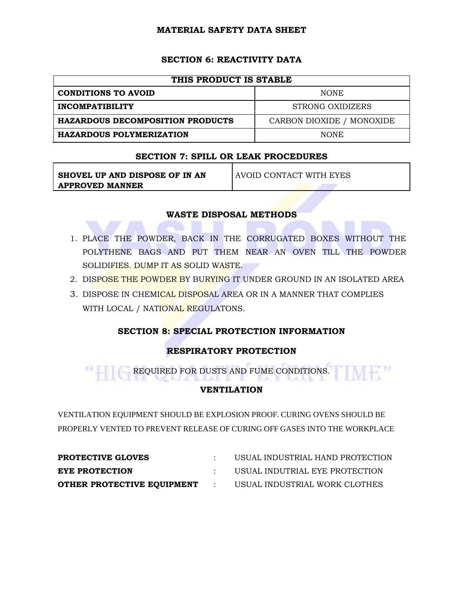## **SECTION 6: REACTIVITY DATA**

| THIS PRODUCT IS STABLE                  |                           |  |
|-----------------------------------------|---------------------------|--|
| <b>CONDITIONS TO AVOID</b>              | <b>NONE</b>               |  |
| <b>INCOMPATIBILITY</b>                  | STRONG OXIDIZERS          |  |
| <b>HAZARDOUS DECOMPOSITION PRODUCTS</b> | CARBON DIOXIDE / MONOXIDE |  |
| <b>HAZARDOUS POLYMERIZATION</b>         | <b>NONE</b>               |  |

#### **SECTION 7: SPILL OR LEAK PROCEDURES**

| SHOVEL UP AND DISPOSE OF IN AN | AVOID CONTACT WITH EYES |
|--------------------------------|-------------------------|
| APPROVED MANNER                |                         |

#### **WASTE DISPOSAL METHODS**

- 1. PLACE THE POWDER, BACK IN THE CORRUGATED BOXES WITHOUT THE POLYTHENE BAGS AND PUT THEM NEAR AN OVEN TILL THE POWDER SOLIDIFIES. DUMP IT AS SOLID WASTE.
- 2. DISPOSE THE POWDER BY BURYING IT UNDER GROUND IN AN ISOLATED AREA
- 3. DISPOSE IN CHEMICAL DISPOSAL AREA OR IN A MANNER THAT COMPLIES WITH LOCAL / NATIONAL REGULATONS.

## **SECTION 8: SPECIAL PROTECTION INFORMATION**

## **RESPIRATORY PROTECTION**

REQUIRED FOR DUSTS AND FUME CONDITIONS. F."

## **VENTILATION**

VENTILATION EQUIPMENT SHOULD BE EXPLOSION PROOF. CURING OVENS SHOULD BE PROPERLY VENTED TO PREVENT RELEASE OF CURING OFF GASES INTO THE WORKPLACE

| <b>PROTECTIVE GLOVES</b>   |                      | USUAL INDUSTRIAL HAND PROTECTION |
|----------------------------|----------------------|----------------------------------|
| EYE PROTECTION             |                      | USUAL INDUTRIAL EYE PROTECTION   |
| OTHER PROTECTIVE EQUIPMENT | <b>Service</b> State | USUAL INDUSTRIAL WORK CLOTHES    |